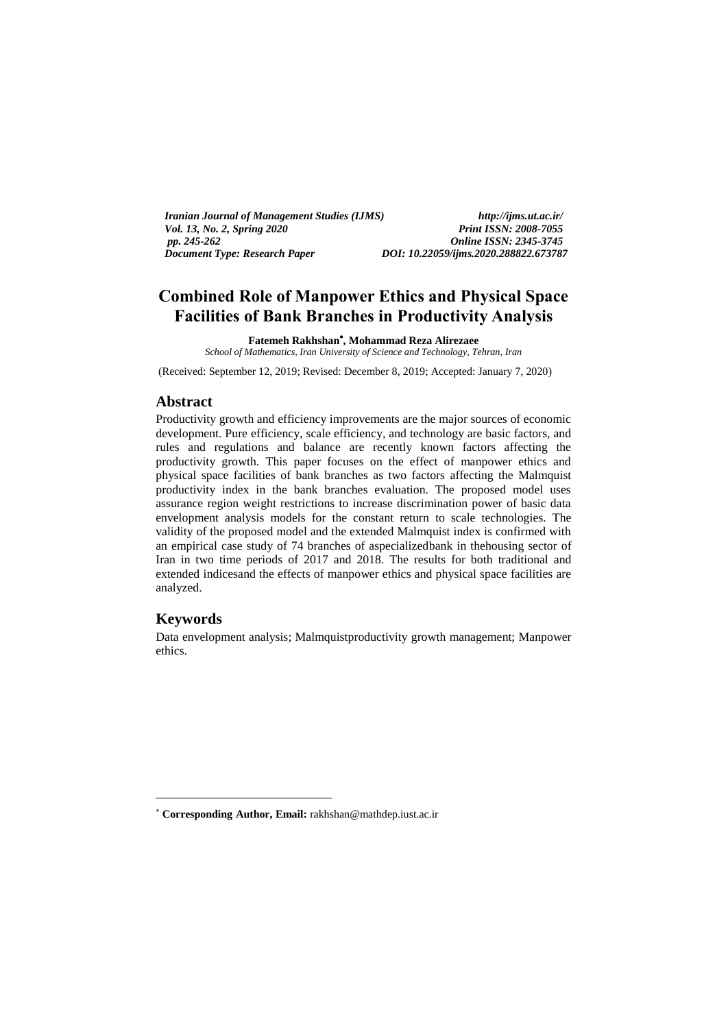| <i>Iranian Journal of Management Studies (IJMS)</i> | http://ijms.ut.ac.ir/                 |
|-----------------------------------------------------|---------------------------------------|
| <i>Vol. 13, No. 2, Spring 2020</i>                  | <b>Print ISSN: 2008-7055</b>          |
| pp. 245-262                                         | <b>Online ISSN: 2345-3745</b>         |
| Document Type: Research Paper                       | DOI: 10.22059/ijms.2020.288822.673787 |

# **Combined Role of Manpower Ethics and Physical Space Facilities of Bank Branches in Productivity Analysis**

**Fatemeh Rakhshan , Mohammad Reza Alirezaee** *School of Mathematics, Iran University of Science and Technology, Tehran, Iran*

(Received: September 12, 2019; Revised: December 8, 2019; Accepted: January 7, 2020)

#### **Abstract**

Productivity growth and efficiency improvements are the major sources of economic development. Pure efficiency, scale efficiency, and technology are basic factors, and rules and regulations and balance are recently known factors affecting the productivity growth. This paper focuses on the effect of manpower ethics and physical space facilities of bank branches as two factors affecting the Malmquist productivity index in the bank branches evaluation. The proposed model uses assurance region weight restrictions to increase discrimination power of basic data envelopment analysis models for the constant return to scale technologies. The validity of the proposed model and the extended Malmquist index is confirmed with an empirical case study of 74 branches of aspecializedbank in thehousing sector of Iran in two time periods of 2017 and 2018. The results for both traditional and extended indicesand the effects of manpower ethics and physical space facilities are analyzed.

#### **Keywords**

-

Data envelopment analysis; Malmquistproductivity growth management; Manpower ethics.

**Corresponding Author, Email:** rakhshan@mathdep.iust.ac.ir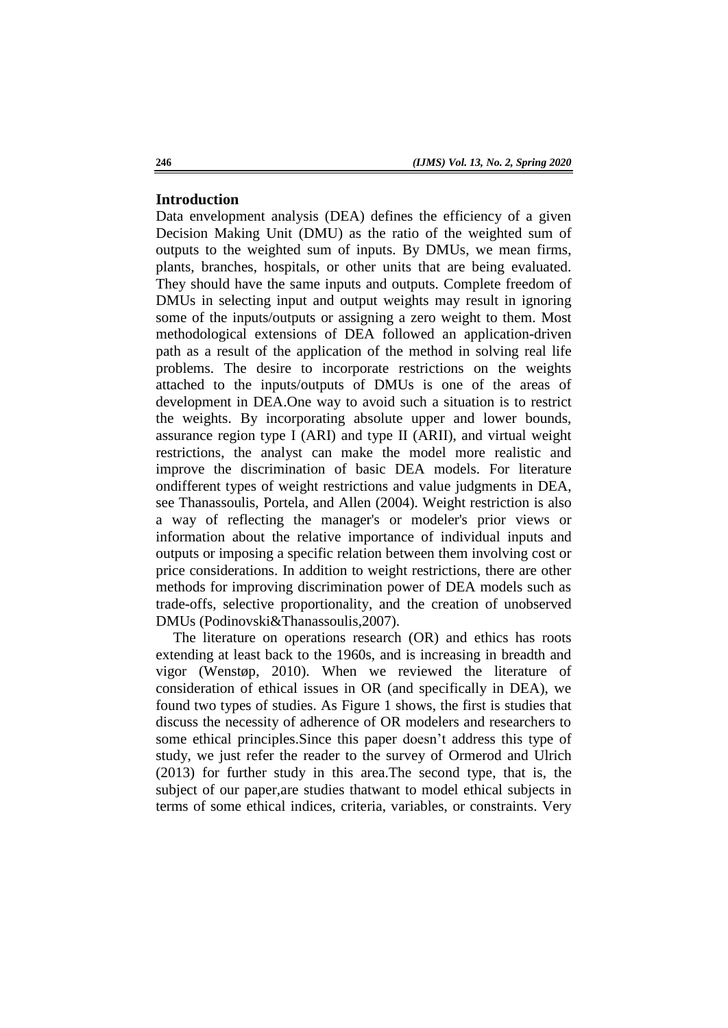### **Introduction**

Data envelopment analysis (DEA) defines the efficiency of a given Decision Making Unit (DMU) as the ratio of the weighted sum of outputs to the weighted sum of inputs. By DMUs, we mean firms, plants, branches, hospitals, or other units that are being evaluated. They should have the same inputs and outputs. Complete freedom of DMUs in selecting input and output weights may result in ignoring some of the inputs/outputs or assigning a zero weight to them. Most methodological extensions of DEA followed an application-driven path as a result of the application of the method in solving real life problems. The desire to incorporate restrictions on the weights attached to the inputs/outputs of DMUs is one of the areas of development in DEA.One way to avoid such a situation is to restrict the weights. By incorporating absolute upper and lower bounds, assurance region type I (ARI) and type II (ARII), and virtual weight restrictions, the analyst can make the model more realistic and improve the discrimination of basic DEA models. For literature ondifferent types of weight restrictions and value judgments in DEA, see Thanassoulis, Portela, and Allen (2004). Weight restriction is also a way of reflecting the manager's or modeler's prior views or information about the relative importance of individual inputs and outputs or imposing a specific relation between them involving cost or price considerations. In addition to weight restrictions, there are other methods for improving discrimination power of DEA models such as trade-offs, selective proportionality, and the creation of unobserved DMUs (Podinovski&Thanassoulis,2007).

The literature on operations research (OR) and ethics has roots extending at least back to the 1960s, and is increasing in breadth and vigor (Wenstøp, 2010). When we reviewed the literature of consideration of ethical issues in OR (and specifically in DEA), we found two types of studies. As Figure 1 shows, the first is studies that discuss the necessity of adherence of OR modelers and researchers to some ethical principles.Since this paper doesn't address this type of study, we just refer the reader to the survey of Ormerod and Ulrich (2013) for further study in this area.The second type, that is, the subject of our paper,are studies thatwant to model ethical subjects in terms of some ethical indices, criteria, variables, or constraints. Very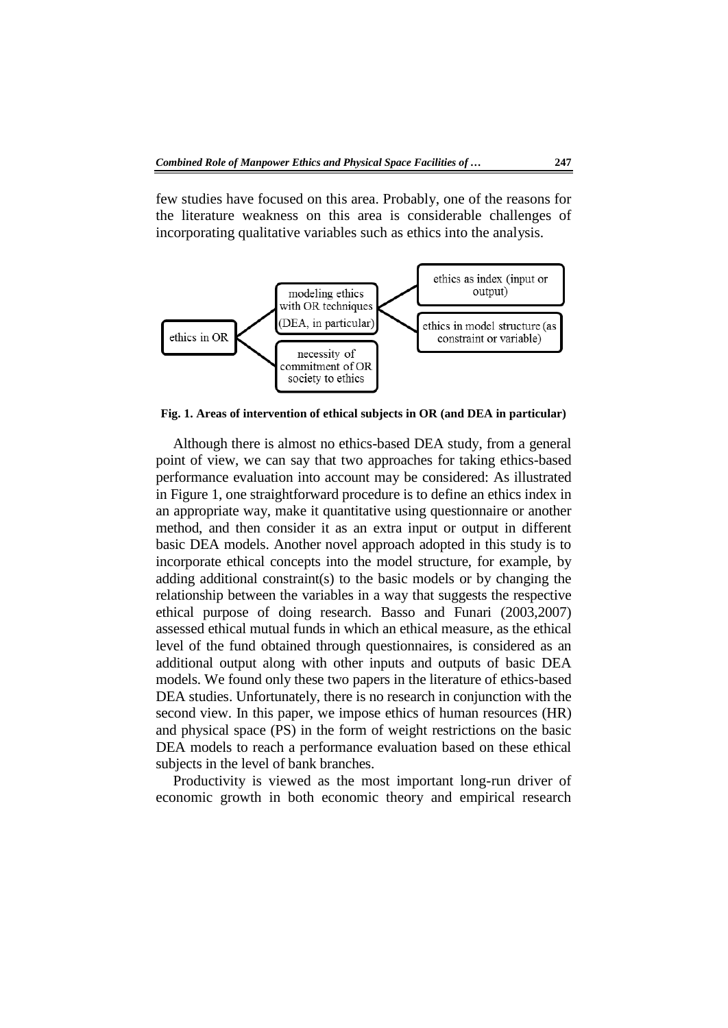few studies have focused on this area. Probably, one of the reasons for the literature weakness on this area is considerable challenges of incorporating qualitative variables such as ethics into the analysis.



**Fig. 1. Areas of intervention of ethical subjects in OR (and DEA in particular)**

Although there is almost no ethics-based DEA study, from a general point of view, we can say that two approaches for taking ethics-based performance evaluation into account may be considered: As illustrated in Figure 1, one straightforward procedure is to define an ethics index in an appropriate way, make it quantitative using questionnaire or another method, and then consider it as an extra input or output in different basic DEA models. Another novel approach adopted in this study is to incorporate ethical concepts into the model structure, for example, by adding additional constraint(s) to the basic models or by changing the relationship between the variables in a way that suggests the respective ethical purpose of doing research. Basso and Funari (2003,2007) assessed ethical mutual funds in which an ethical measure, as the ethical level of the fund obtained through questionnaires, is considered as an additional output along with other inputs and outputs of basic DEA models. We found only these two papers in the literature of ethics-based DEA studies. Unfortunately, there is no research in conjunction with the second view. In this paper, we impose ethics of human resources (HR) and physical space (PS) in the form of weight restrictions on the basic DEA models to reach a performance evaluation based on these ethical subjects in the level of bank branches.

Productivity is viewed as the most important long-run driver of economic growth in both economic theory and empirical research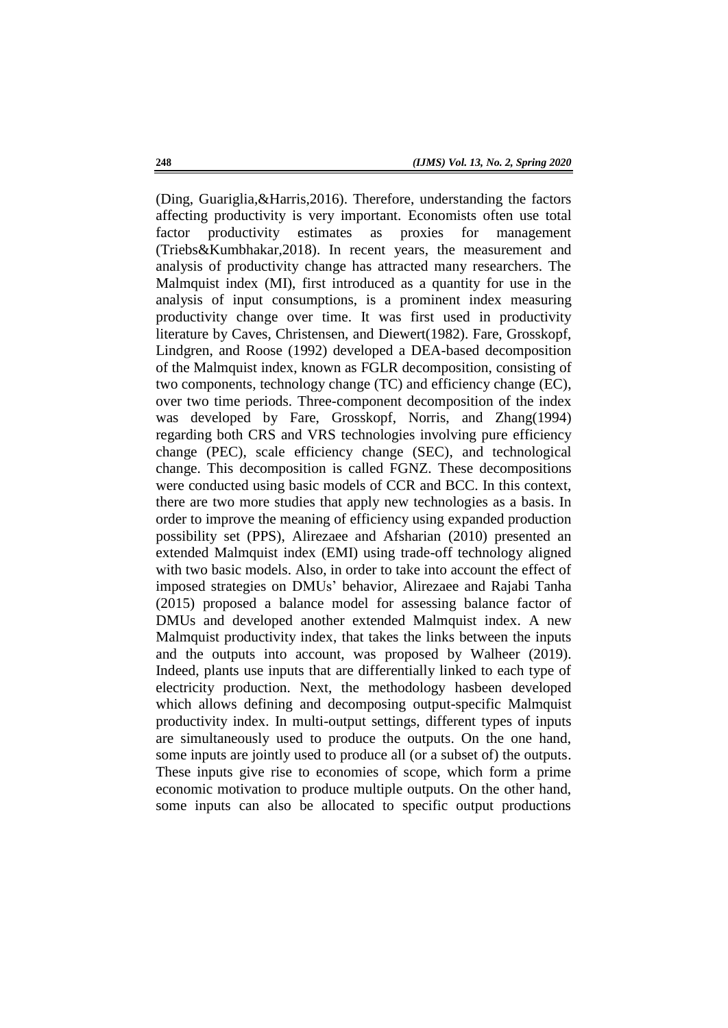(Ding, Guariglia,&Harris,2016). Therefore, understanding the factors affecting productivity is very important. Economists often use total factor productivity estimates as proxies for management (Triebs&Kumbhakar,2018). In recent years, the measurement and analysis of productivity change has attracted many researchers. The Malmquist index (MI), first introduced as a quantity for use in the analysis of input consumptions, is a prominent index measuring productivity change over time. It was first used in productivity literature by Caves, Christensen, and Diewert(1982). Fare, Grosskopf, Lindgren, and Roose (1992) developed a DEA-based decomposition of the Malmquist index, known as FGLR decomposition, consisting of two components, technology change (TC) and efficiency change (EC), over two time periods. Three-component decomposition of the index was developed by Fare, Grosskopf, Norris, and Zhang(1994) regarding both CRS and VRS technologies involving pure efficiency change (PEC), scale efficiency change (SEC), and technological change. This decomposition is called FGNZ. These decompositions were conducted using basic models of CCR and BCC. In this context, there are two more studies that apply new technologies as a basis. In order to improve the meaning of efficiency using expanded production possibility set (PPS), Alirezaee and Afsharian (2010) presented an extended Malmquist index (EMI) using trade-off technology aligned with two basic models. Also, in order to take into account the effect of imposed strategies on DMUs' behavior, Alirezaee and Rajabi Tanha (2015) proposed a balance model for assessing balance factor of DMUs and developed another extended Malmquist index. A new Malmquist productivity index, that takes the links between the inputs and the outputs into account, was proposed by Walheer (2019). Indeed, plants use inputs that are differentially linked to each type of electricity production. Next, the methodology hasbeen developed which allows defining and decomposing output-specific Malmquist productivity index. In multi-output settings, different types of inputs are simultaneously used to produce the outputs. On the one hand, some inputs are jointly used to produce all (or a subset of) the outputs. These inputs give rise to economies of scope, which form a prime economic motivation to produce multiple outputs. On the other hand, some inputs can also be allocated to specific output productions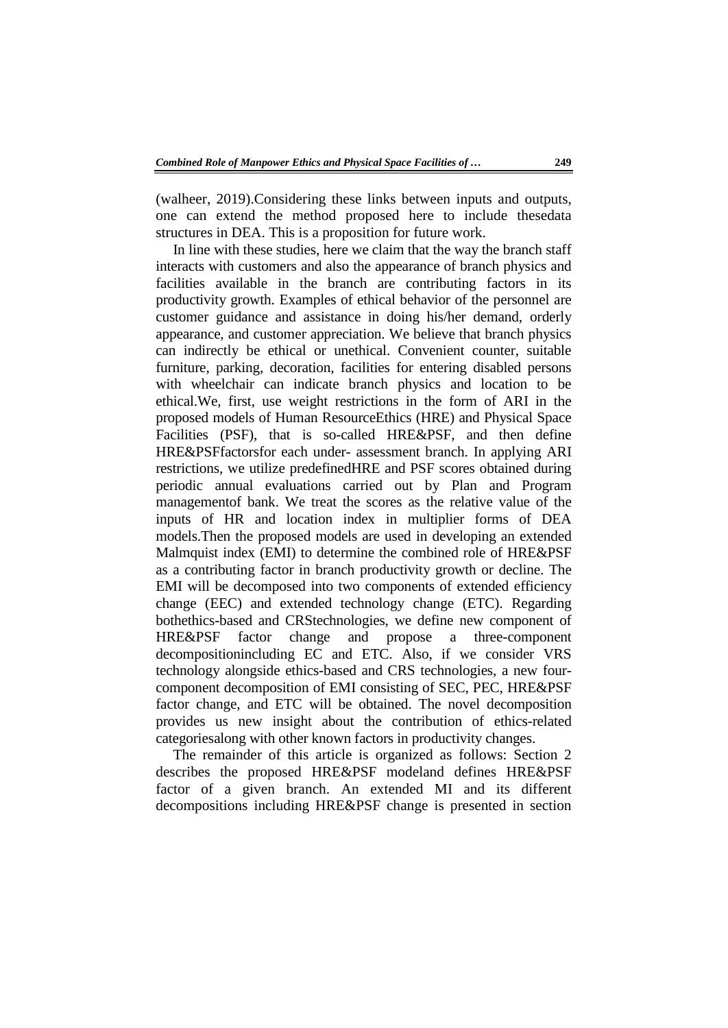(walheer, 2019).Considering these links between inputs and outputs, one can extend the method proposed here to include thesedata structures in DEA. This is a proposition for future work.

In line with these studies, here we claim that the way the branch staff interacts with customers and also the appearance of branch physics and facilities available in the branch are contributing factors in its productivity growth. Examples of ethical behavior of the personnel are customer guidance and assistance in doing his/her demand, orderly appearance, and customer appreciation. We believe that branch physics can indirectly be ethical or unethical. Convenient counter, suitable furniture, parking, decoration, facilities for entering disabled persons with wheelchair can indicate branch physics and location to be ethical.We, first, use weight restrictions in the form of ARI in the proposed models of Human ResourceEthics (HRE) and Physical Space Facilities (PSF), that is so-called HRE&PSF, and then define HRE&PSFfactorsfor each under- assessment branch. In applying ARI restrictions, we utilize predefinedHRE and PSF scores obtained during periodic annual evaluations carried out by Plan and Program managementof bank. We treat the scores as the relative value of the inputs of HR and location index in multiplier forms of DEA models.Then the proposed models are used in developing an extended Malmquist index (EMI) to determine the combined role of HRE&PSF as a contributing factor in branch productivity growth or decline. The EMI will be decomposed into two components of extended efficiency change (EEC) and extended technology change (ETC). Regarding bothethics-based and CRStechnologies, we define new component of HRE&PSF factor change and propose a three-component decompositionincluding EC and ETC. Also, if we consider VRS technology alongside ethics-based and CRS technologies, a new fourcomponent decomposition of EMI consisting of SEC, PEC, HRE&PSF factor change, and ETC will be obtained. The novel decomposition provides us new insight about the contribution of ethics-related categoriesalong with other known factors in productivity changes.

The remainder of this article is organized as follows: Section 2 describes the proposed HRE&PSF modeland defines HRE&PSF factor of a given branch. An extended MI and its different decompositions including HRE&PSF change is presented in section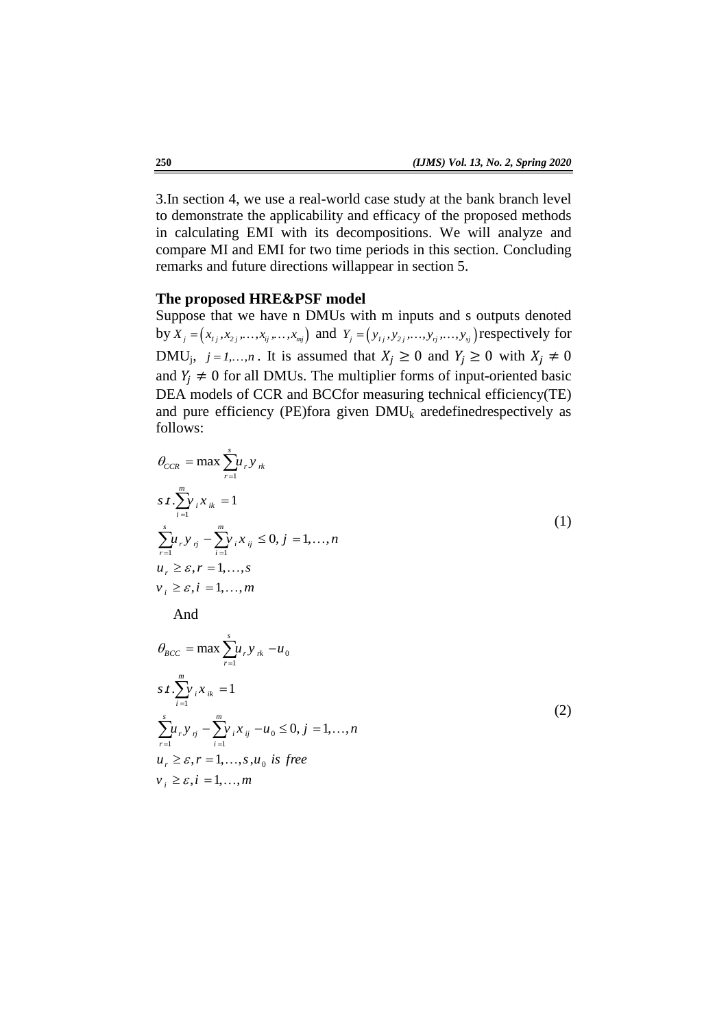3.In section 4, we use a real-world case study at the bank branch level to demonstrate the applicability and efficacy of the proposed methods in calculating EMI with its decompositions. We will analyze and compare MI and EMI for two time periods in this section. Concluding remarks and future directions willappear in section 5.

#### **The proposed HRE&PSF model**

Suppose that we have n DMUs with m inputs and s outputs denoted by  $X_j = (x_{i_j}, x_{i_j},..., x_{i_j},..., x_{mj})$  and  $Y_j = (y_{i_j}, y_{i_j},..., y_{i_j},..., y_{i_j})$  respectively for DMU<sub>j</sub>,  $j = 1,...,n$ . It is assumed that  $X_j \ge 0$  and  $Y_j \ge 0$  with and  $Y_i \neq 0$  for all DMUs. The multiplier forms of input-oriented basic DEA models of CCR and BCCfor measuring technical efficiency(TE) and pure efficiency (PE)fora given  $DMU_k$  aredefinedrespectively as follows:

$$
\theta_{CCR} = \max \sum_{r=1}^{s} u_r y_{rk}
$$
\n
$$
s \cdot \sum_{i=1}^{m} y_i x_{ik} = 1
$$
\n
$$
\sum_{r=1}^{s} u_r y_{rj} - \sum_{i=1}^{m} y_i x_{ij} \leq 0, j = 1, ..., n
$$
\n
$$
u_r \geq \varepsilon, r = 1, ..., s
$$
\n
$$
v_i \geq \varepsilon, i = 1, ..., m
$$
\nAnd

$$
\theta_{BCC} = \max \sum_{r=1}^{s} u_r y_{rk} - u_0
$$
  
s t. 
$$
\sum_{i=1}^{m} y_i x_{ik} = 1
$$
  

$$
\sum_{r=1}^{s} u_r y_{rj} - \sum_{i=1}^{m} y_i x_{ij} - u_0 \le 0, j = 1,..., n
$$
  

$$
u_r \ge \varepsilon, r = 1,..., s, u_0 \text{ is free}
$$
  

$$
v_i \ge \varepsilon, i = 1,..., m
$$

(2)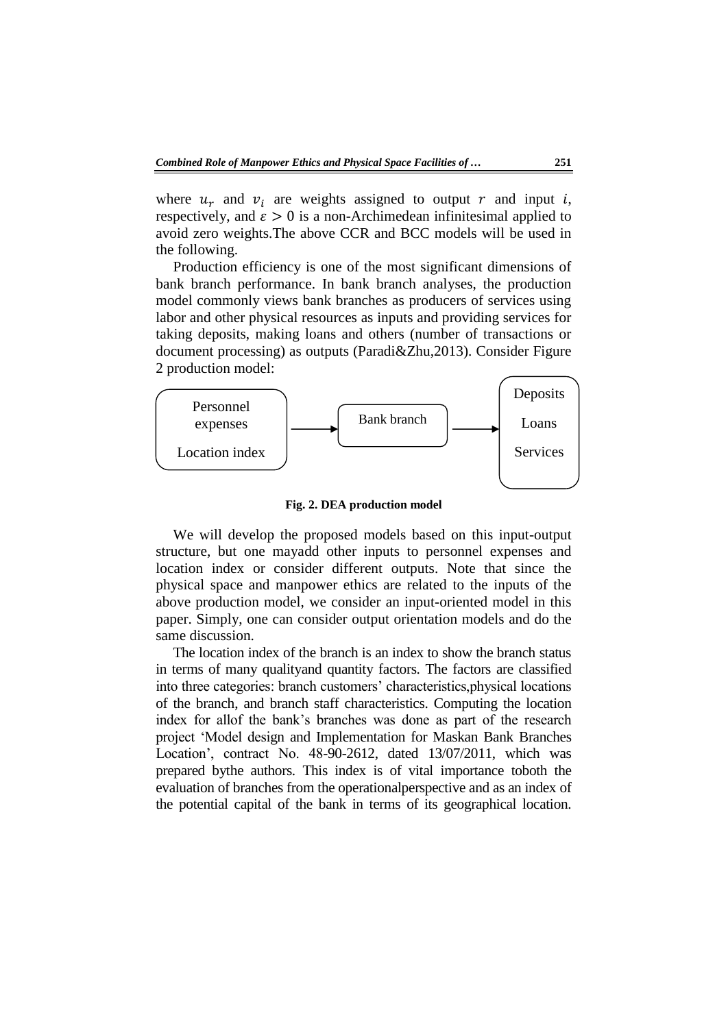where  $u_r$  and  $v_i$  are weights assigned to output r and input i, respectively, and  $\varepsilon > 0$  is a non-Archimedean infinitesimal applied to avoid zero weights.The above CCR and BCC models will be used in the following.

Production efficiency is one of the most significant dimensions of bank branch performance. In bank branch analyses, the production model commonly views bank branches as producers of services using labor and other physical resources as inputs and providing services for taking deposits, making loans and others (number of transactions or document processing) as outputs (Paradi&Zhu,2013). Consider Figure 2 production model:



**Fig. 2. DEA production model**

We will develop the proposed models based on this input-output structure, but one mayadd other inputs to personnel expenses and location index or consider different outputs. Note that since the physical space and manpower ethics are related to the inputs of the above production model, we consider an input-oriented model in this paper. Simply, one can consider output orientation models and do the same discussion.

The location index of the branch is an index to show the branch status in terms of many qualityand quantity factors. The factors are classified into three categories: branch customers' characteristics,physical locations of the branch, and branch staff characteristics. Computing the location index for allof the bank's branches was done as part of the research project 'Model design and Implementation for Maskan Bank Branches Location', contract No. 48-90-2612, dated 13/07/2011, which was prepared bythe authors. This index is of vital importance toboth the evaluation of branches from the operationalperspective and as an index of the potential capital of the bank in terms of its geographical location.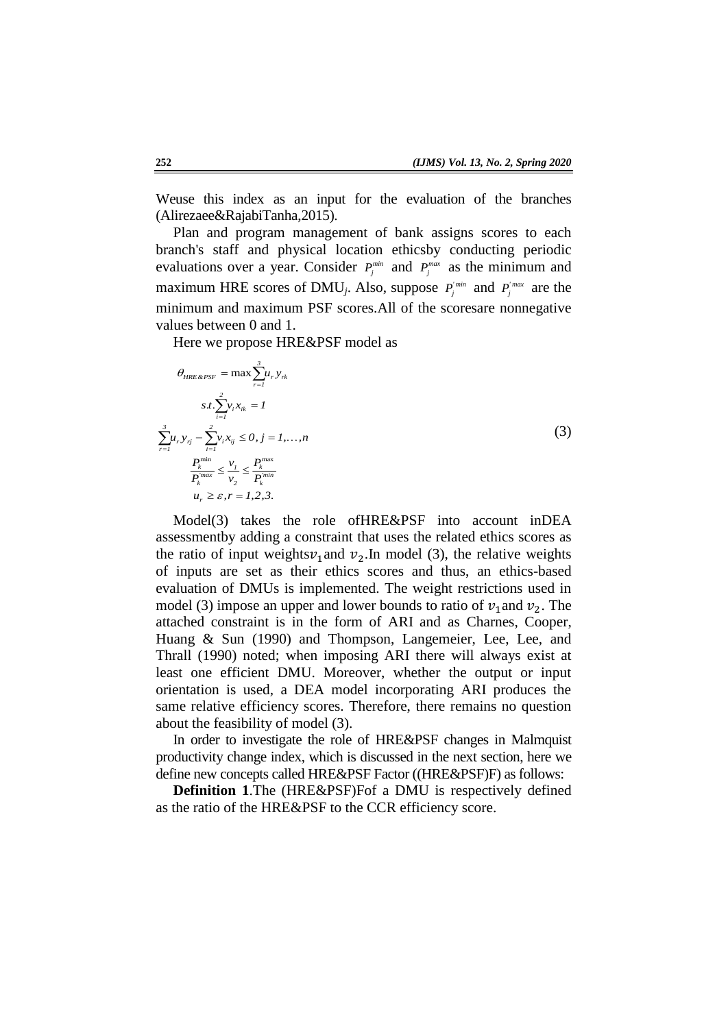Weuse this index as an input for the evaluation of the branches (Alirezaee&RajabiTanha,2015).

Plan and program management of bank assigns scores to each branch's staff and physical location ethicsby conducting periodic evaluations over a year. Consider  $P_j^{min}$  and  $P_j^{max}$  as the minimum and maximum HRE scores of DMU<sub>j</sub>. Also, suppose  $P_j^{\text{min}}$  and  $P_j^{\text{max}}$  are the minimum and maximum PSF scores.All of the scoresare nonnegative values between 0 and 1.

Here we propose HRE&PSF model as

$$
\theta_{HRE\&PSF} = \max \sum_{r=1}^{3} u_r y_{rk}
$$
\n
$$
s.t. \sum_{i=1}^{2} v_i x_{ik} = I
$$
\n
$$
\sum_{r=1}^{3} u_r y_{rj} - \sum_{i=1}^{2} v_i x_{ij} \le 0, j = I, ..., n
$$
\n
$$
\frac{P_k^{\min}}{P_k^{\max}} \le \frac{v_j}{v_2} \le \frac{P_k^{\max}}{P_k^{\min}}
$$
\n
$$
u_r \ge \varepsilon, r = I, 2, 3.
$$
\n(3)

Model(3) takes the role ofHRE&PSF into account inDEA assessmentby adding a constraint that uses the related ethics scores as the ratio of input weights  $v_1$  and  $v_2$ . In model (3), the relative weights of inputs are set as their ethics scores and thus, an ethics-based evaluation of DMUs is implemented. The weight restrictions used in model (3) impose an upper and lower bounds to ratio of  $v_1$  and  $v_2$ . The attached constraint is in the form of ARI and as Charnes, Cooper, Huang & Sun (1990) and Thompson, Langemeier, Lee, Lee, and Thrall (1990) noted; when imposing ARI there will always exist at least one efficient DMU. Moreover, whether the output or input orientation is used, a DEA model incorporating ARI produces the same relative efficiency scores. Therefore, there remains no question about the feasibility of model (3).

In order to investigate the role of HRE&PSF changes in Malmquist productivity change index, which is discussed in the next section, here we define new concepts called HRE&PSF Factor ((HRE&PSF)F) as follows:

**Definition 1**.The (HRE&PSF)Fof a DMU is respectively defined as the ratio of the HRE&PSF to the CCR efficiency score.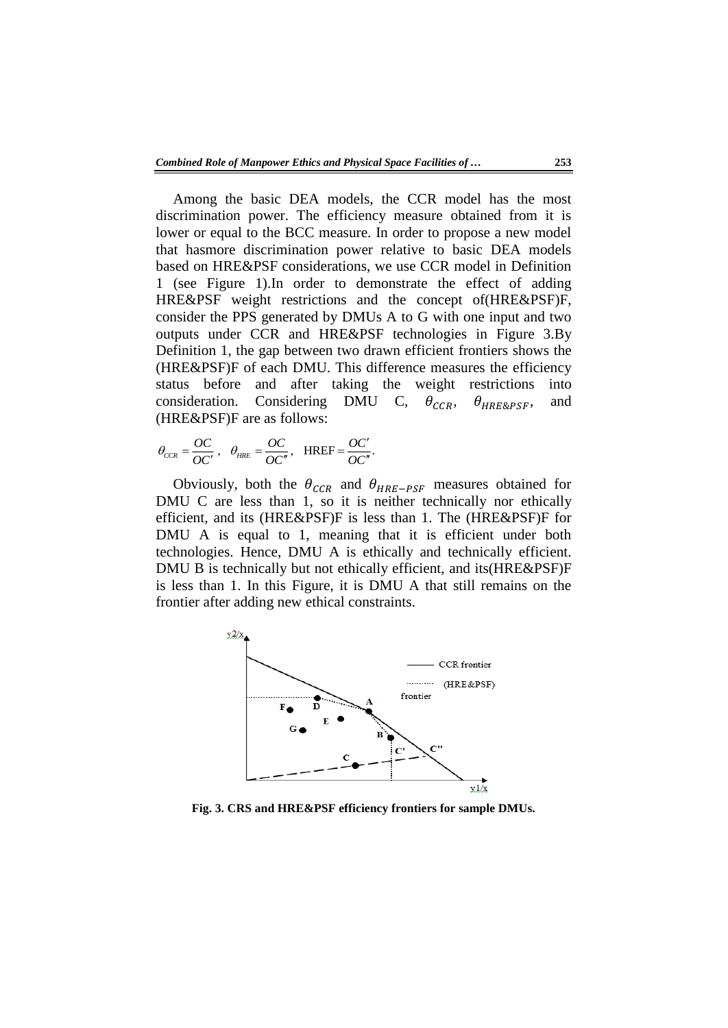Among the basic DEA models, the CCR model has the most discrimination power. The efficiency measure obtained from it is lower or equal to the BCC measure. In order to propose a new model that hasmore discrimination power relative to basic DEA models based on HRE&PSF considerations, we use CCR model in Definition 1 (see Figure 1).In order to demonstrate the effect of adding HRE&PSF weight restrictions and the concept of(HRE&PSF)F, consider the PPS generated by DMUs A to G with one input and two outputs under CCR and HRE&PSF technologies in Figure 3.By Definition 1, the gap between two drawn efficient frontiers shows the (HRE&PSF)F of each DMU. This difference measures the efficiency status before and after taking the weight restrictions into consideration. Considering DMU C,  $\theta_{CCR}$ ,  $\theta_{HRE8PSE}$ , and (HRE&PSF)F are as follows:

$$
\theta_{CCR} = \frac{OC}{OC'}, \quad \theta_{HRE} = \frac{OC}{OC''}, \quad \text{HREF} = \frac{OC'}{OC''}.
$$

Obviously, both the  $\theta_{CCR}$  and  $\theta_{HRE-PSF}$  measures obtained for DMU C are less than 1, so it is neither technically nor ethically efficient, and its (HRE&PSF)F is less than 1. The (HRE&PSF)F for DMU A is equal to 1, meaning that it is efficient under both technologies. Hence, DMU A is ethically and technically efficient. DMU B is technically but not ethically efficient, and its(HRE&PSF)F is less than 1. In this Figure, it is DMU A that still remains on the frontier after adding new ethical constraints.



**Fig. 3. CRS and HRE&PSF efficiency frontiers for sample DMUs.**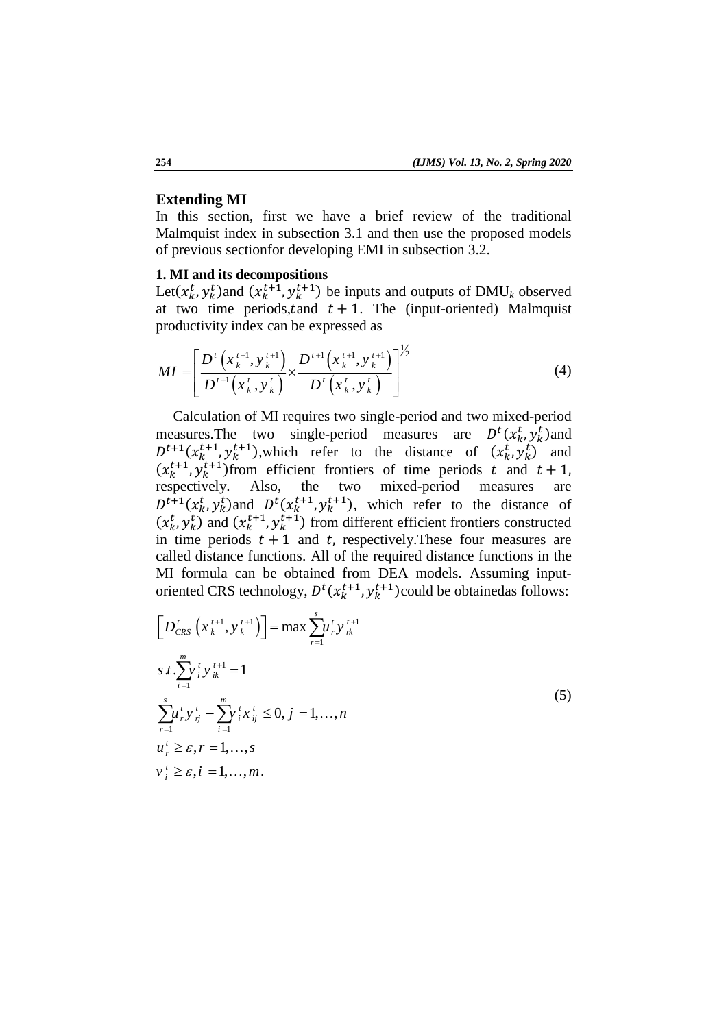#### **Extending MI**

In this section, first we have a brief review of the traditional Malmquist index in subsection 3.1 and then use the proposed models of previous sectionfor developing EMI in subsection 3.2.

## **1. MI and its decompositions**

Let( $x_k^t$ ,  $y_k^t$ ) and ( $x_k^{t+1}$ ,  $y_k^{t+1}$ ) be inputs and outputs of DMU<sub>k</sub> observed at two time periods,  $t$  and  $t + 1$ . The (input-oriented) Malmquist productivity index can be expressed as

$$
MI = \left[ \frac{D^{t}\left(x_{k}^{t+1}, y_{k}^{t+1}\right)}{D^{t+1}\left(x_{k}^{t}, y_{k}^{t}\right)} \times \frac{D^{t+1}\left(x_{k}^{t+1}, y_{k}^{t+1}\right)}{D^{t}\left(x_{k}^{t}, y_{k}^{t}\right)} \right]^{1/2} \tag{4}
$$

Calculation of MI requires two single-period and two mixed-period measures. The two single-period measures are  $D^t(x_k^t, y_k^t)$  and  $D^{t+1}(x_k^{t+1}, y_k^{t+1})$ , which refer to the distance of  $(x_k^t, y_k^t)$  and  $(x_k^{t+1}, y_k^{t+1})$  from efficient frontiers of time periods t and respectively. Also, the two mixed-period measures are  $D^{t+1}(x_k^t, y_k^t)$  and  $D^{t}(x_k^{t+1}, y_k^{t+1})$ , which refer to the distance of  $(x_k^t, y_k^t)$  and  $(x_k^{t+1}, y_k^{t+1})$  from different efficient frontiers constructed in time periods  $t + 1$  and t, respectively. These four measures are called distance functions. All of the required distance functions in the MI formula can be obtained from DEA models. Assuming inputoriented CRS technology,  $D^t(x_k^{t+1}, y_k^{t+1})$ could be obtainedas follows:

$$
\[D_{CRS}^{t}\left(x_{k}^{t+1}, y_{k}^{t+1}\right)\] = \max \sum_{r=1}^{s} u_{r}^{t} y_{rk}^{t+1} \ns t \cdot \sum_{i=1}^{m} v_{i}^{t} y_{ik}^{t+1} = 1 \sum_{r=1}^{s} u_{r}^{t} y_{rj}^{t} - \sum_{i=1}^{m} v_{i}^{t} x_{ij}^{t} \leq 0, j = 1, ..., n \nu_{i}^{t} \geq \varepsilon, r = 1, ..., s \nv_{i}^{t} \geq \varepsilon, i = 1, ..., m.
$$
\n(5)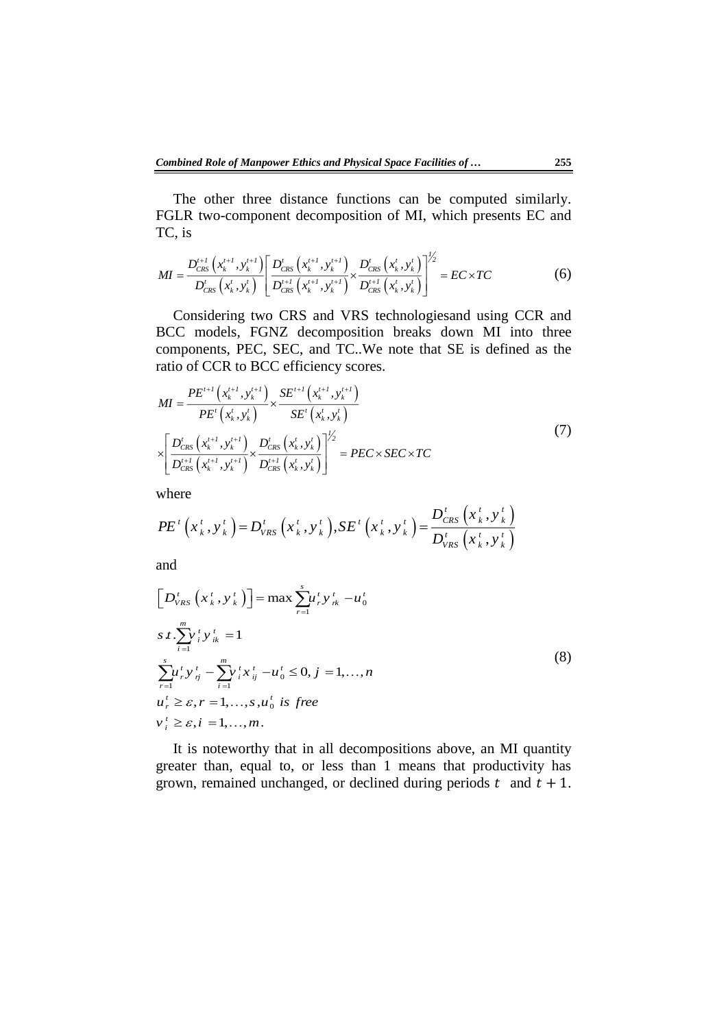The other three distance functions can be computed similarly. FGLR two-component decomposition of MI, which presents EC and TC, is

TC, is  
\n
$$
MI = \frac{D_{CRS}^{t+1} (x_k^{t+1}, y_k^{t+1})}{D_{CRS}^{t} (x_k^{t}, y_k^{t})} \left[ \frac{D_{CRS}^{t} (x_k^{t+1}, y_k^{t+1})}{D_{CRS}^{t+1} (x_k^{t+1}, y_k^{t+1})} \times \frac{D_{CRS}^{t} (x_k^{t}, y_k^{t})}{D_{CRS}^{t+1} (x_k^{t}, y_k^{t})} \right]^{1/2} = EC \times TC
$$
\n(6)

Considering two CRS and VRS technologiesand using CCR and BCC models, FGNZ decomposition breaks down MI into three components, PEC, SEC, and TC..We note that SE is defined as the ratio of CCR to BCC efficiency scores.

$$
MI = \frac{PE^{t+1}(x_k^{t+1}, y_k^{t+1})}{PE^{t}(x_k^{t}, y_k^{t})} \times \frac{SE^{t+1}(x_k^{t+1}, y_k^{t+1})}{SE^{t}(x_k^{t}, y_k^{t})}
$$
  
\n
$$
\times \left[ \frac{D_{CRS}^{t}(x_k^{t+1}, y_k^{t+1})}{D_{CRS}^{t+1}(x_k^{t+1}, y_k^{t+1})} \times \frac{D_{CRS}^{t}(x_k^{t}, y_k^{t})}{D_{CRS}^{t+1}(x_k^{t}, y_k^{t})} \right]^{1/2} = PEC \times SEC \times TC
$$
 (7)

where

where  
\n
$$
PE^{t}(x_{k}^{t}, y_{k}^{t}) = D_{VRS}^{t}(x_{k}^{t}, y_{k}^{t}), SE^{t}(x_{k}^{t}, y_{k}^{t}) = \frac{D_{CRS}^{t}(x_{k}^{t}, y_{k}^{t})}{D_{VRS}^{t}(x_{k}^{t}, y_{k}^{t})}
$$

and

$$
\left[D_{VRS}^{t}\left(x_{k}^{t}, y_{k}^{t}\right)\right] = \max \sum_{r=1}^{s} u_{r}^{t} y_{rk}^{t} - u_{0}^{t}
$$
\n
$$
s.t. \sum_{i=1}^{m} y_{i}^{t} y_{ik}^{t} = 1
$$
\n
$$
\sum_{r=1}^{s} u_{r}^{t} y_{rj}^{t} - \sum_{i=1}^{m} y_{i}^{t} x_{ij}^{t} - u_{0}^{t} \leq 0, j = 1, ..., n
$$
\n
$$
u_{r}^{t} \geq \varepsilon, r = 1, ..., s, u_{0}^{t} \text{ is free}
$$
\n
$$
v_{i}^{t} \geq \varepsilon, i = 1, ..., m.
$$
\n(8)

It is noteworthy that in all decompositions above, an MI quantity greater than, equal to, or less than 1 means that productivity has grown, remained unchanged, or declined during periods t and  $t + 1$ .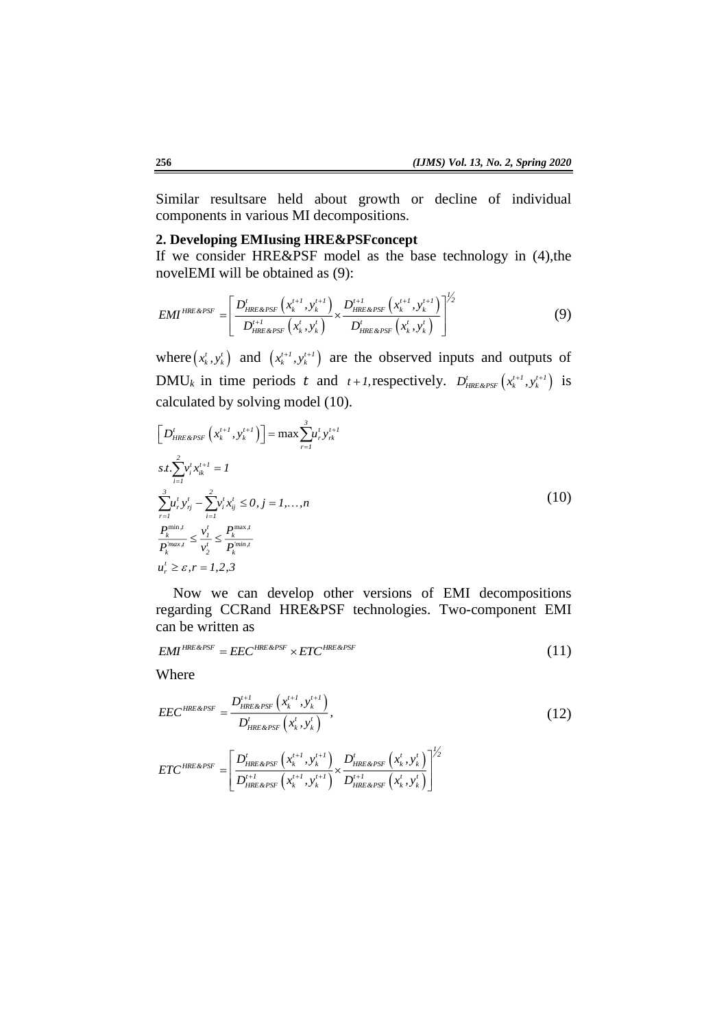Similar resultsare held about growth or decline of individual components in various MI decompositions.

#### **2. Developing EMIusing HRE&PSFconcept**

If we consider HRE&PSF model as the base technology in (4),the novelEMI will be obtained as (9):

$$
EMI^{HRE\&PSF} = \left[ \frac{D_{HRE\&PSF}^{t} \left( x_k^{t+1}, y_k^{t+1} \right)}{D_{HRE\&PSF}^{t+1} \left( x_k^{t}, y_k^{t} \right)} \times \frac{D_{HRE\&PSF}^{t+1} \left( x_k^{t+1}, y_k^{t+1} \right)}{D_{HRE\&PSF}^{t+1} \left( x_k^{t}, y_k^{t} \right)} \right]^{1/2} \tag{9}
$$

where  $(x_k^t, y_k^t)$  and  $(x_k^{t+1}, y_k^{t+1})$  are the observed inputs and outputs of  $\text{DMU}_k$  in time periods t and  $t+1$ , respectively.  $D'_{HRE\&PSF}\left(x_k^{t+1}, y_k^{t+1}\right)$  is calculated by solving model (10).

$$
\left[D'_{HRE\&PSF}\left(x_k^{t+l}, y_k^{t+l}\right)\right] = \max \sum_{r=1}^3 u_r^t y_{rk}^{t+l}
$$
\n
$$
s.t. \sum_{i=1}^2 v_i^t x_{ik}^{t+l} = I
$$
\n
$$
\sum_{r=1}^3 u_r^t y_{rj}^t - \sum_{i=1}^2 v_i^t x_{ij}^t \le 0, j = I, ..., n
$$
\n
$$
\frac{P_k^{\min,t}}{P_k^{\min,t}} \le \frac{v_1^t}{v_2^t} \le \frac{P_k^{\max,t}}{P_k^{\min,t}}
$$
\n
$$
u_r^t \ge \varepsilon, r = I, 2, 3
$$
\n(10)

Now we can develop other versions of EMI decompositions regarding CCRand HRE&PSF technologies. Two-component EMI can be written as

$$
EMI^{HRE\&PSF} = EEC^{HRE\&PSF} \times ETC^{HRE\&PSF} \tag{11}
$$

Where

$$
EEC^{HRE\&PSF} = \frac{D_{HRE\&PSF}^{t+1} \left(x_k^{t+1}, y_k^{t+1}\right)}{D_{HRE\&PSF}^t \left(x_k^t, y_k^t\right)},
$$
\n(12)

$$
ETC^{HREG\,PSF} = \left[ \frac{D_{HREG\,PSF}^{'}\left(x_{k}^{t+l}, y_{k}^{t+l}\right)}{D_{HREG\,PSF}^{t+l}\left(x_{k}^{t+l}, y_{k}^{t+l}\right)} \times \frac{D_{HREG\,PSF}^{t}\left(x_{k}^{t}, y_{k}^{t}\right)}{D_{HREG\,PSF}^{t+l}\left(x_{k}^{t}, y_{k}^{t}\right)} \right]^{1/2}
$$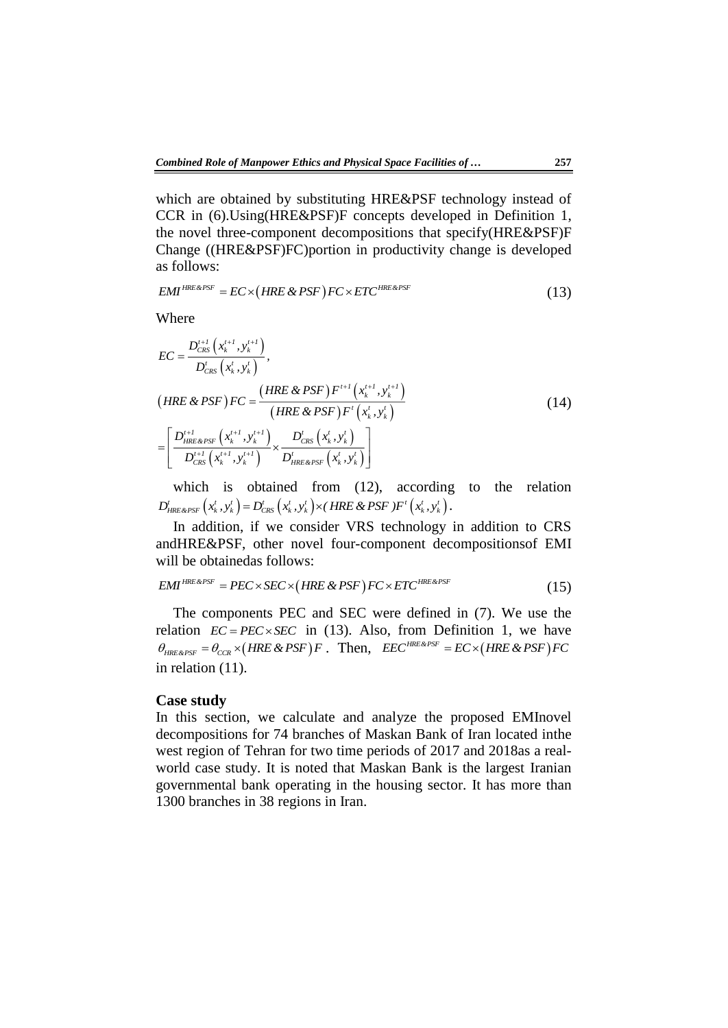which are obtained by substituting HRE&PSF technology instead of CCR in (6).Using(HRE&PSF)F concepts developed in Definition 1, the novel three-component decompositions that specify(HRE&PSF)F Change ((HRE&PSF)FC)portion in productivity change is developed as follows:

as follows:  
\n
$$
EMI^{HRE\&PSF} = EC \times (HRE\&PSF)FC \times ETC^{HRE\&PSF}
$$
\n(13)

Where

$$
EC = \frac{D_{CRS}^{t+l}(x_k^{t+l}, y_k^{t+l})}{D_{CRS}^t(x_k^t, y_k^t)},
$$
  
\n
$$
(HRE \& PSF) FC = \frac{(HRE \& PSF) F^{t+l}(x_k^{t+l}, y_k^{t+l})}{(HRE \& PSF) F^t(x_k^t, y_k^t)}
$$
  
\n
$$
= \left[ \frac{D_{HRE\&PSF}^{t+l}(x_k^{t+l}, y_k^{t+l})}{D_{CRS}^{t+l}(x_k^{t+l}, y_k^{t+l})} \times \frac{D_{CRS}^t(x_k^t, y_k^t)}{D_{HRE\&PSF}^t(x_k^t, y_k^t)} \right]
$$
\n(14)

which is obtained from (12), according to the relation  $D_{HRE\&PSE}^t\left(x_k^t, y_k^t\right) = D_{CRS}^t\left(x_k^t, y_k^t\right) \times \left(HRE\&PSF\right)F^t\left(x_k^t, y_k^t\right).$ 

In addition, if we consider VRS technology in addition to CRS andHRE&PSF, other novel four-component decompositionsof EMI will be obtainedas follows:<br>  $EMI^{HRE\&PSF} = PEC \times SEC \times (HRE \& PSF) FC \times ETC^{HRE\&PSF}$ 

$$
EMI^{HRE\&PSF} = PEC \times SEC \times (HRE \& PSF) FC \times ETC^{HRE\&PSF} \tag{15}
$$

The components PEC and SEC were defined in (7). We use the relation  $EC = PEC \times SEC$  in (13). Also, from Definition 1, we have  $\theta_{HRE\&PSF} = \theta_{CCR} \times (HRE\&PSF)F$ . Then,  $EEC^{HRE\&PSF} = EC \times (HRE\&PSF)FC$ in relation (11).

#### **Case study**

In this section, we calculate and analyze the proposed EMInovel decompositions for 74 branches of Maskan Bank of Iran located inthe west region of Tehran for two time periods of 2017 and 2018as a realworld case study. It is noted that Maskan Bank is the largest Iranian governmental bank operating in the housing sector. It has more than 1300 branches in 38 regions in Iran.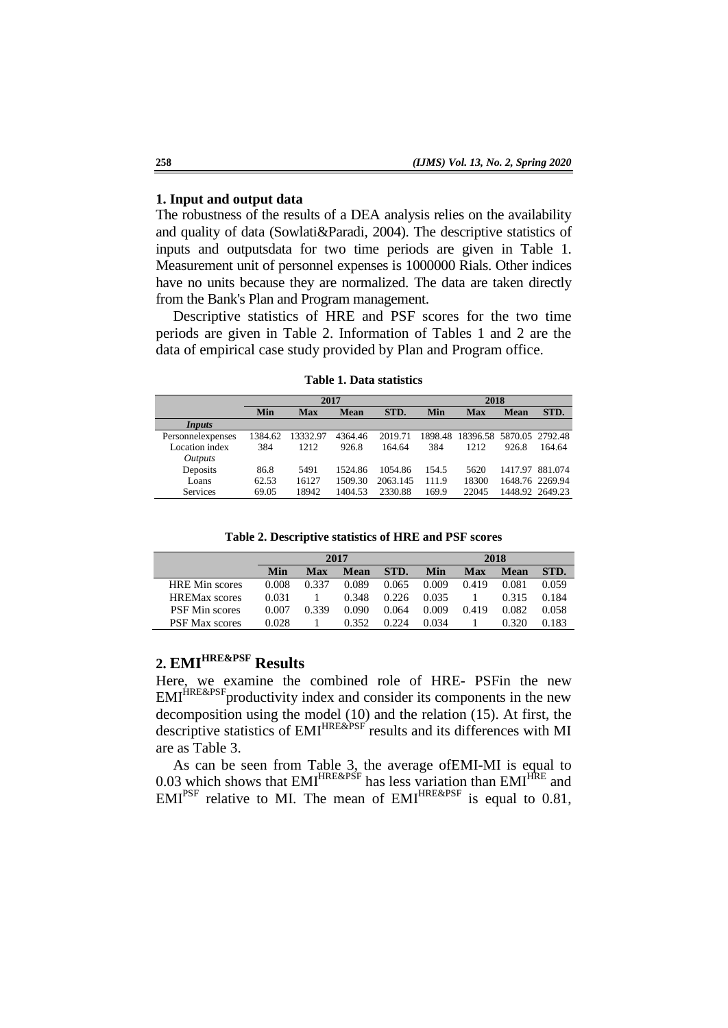#### **1. Input and output data**

The robustness of the results of a DEA analysis relies on the availability and quality of data (Sowlati&Paradi, 2004). The descriptive statistics of inputs and outputsdata for two time periods are given in Table 1. Measurement unit of personnel expenses is 1000000 Rials. Other indices have no units because they are normalized. The data are taken directly from the Bank's Plan and Program management.

Descriptive statistics of HRE and PSF scores for the two time periods are given in Table 2. Information of Tables 1 and 2 are the data of empirical case study provided by Plan and Program office.

|                   | 2017    |            |             |          | 2018  |                                  |             |                 |
|-------------------|---------|------------|-------------|----------|-------|----------------------------------|-------------|-----------------|
|                   | Min     | <b>Max</b> | <b>Mean</b> | STD.     | Min   | <b>Max</b>                       | <b>Mean</b> | STD.            |
| Inputs            |         |            |             |          |       |                                  |             |                 |
| Personnelexpenses | 1384.62 | 13332.97   | 4364.46     | 2019.71  |       | 1898.48 18396.58 5870.05 2792.48 |             |                 |
| Location index    | 384     | 1212       | 926.8       | 164.64   | 384   | 1212                             | 926.8       | 164.64          |
| <i>Outputs</i>    |         |            |             |          |       |                                  |             |                 |
| Deposits          | 86.8    | 5491       | 1524.86     | 1054.86  | 154.5 | 5620                             |             | 1417.97 881.074 |
| Loans             | 62.53   | 16127      | 1509.30     | 2063.145 | 111.9 | 18300                            |             | 1648.76 2269.94 |
| Services          | 69.05   | 18942      | 1404.53     | 2330.88  | 169.9 | 22045                            |             | 1448.92 2649.23 |

**Table 1. Data statistics**

**Table 2. Descriptive statistics of HRE and PSF scores**

|                       | 2017  |            |       |       | 2018  |            |             |       |  |
|-----------------------|-------|------------|-------|-------|-------|------------|-------------|-------|--|
|                       | Min   | <b>Max</b> | Mean  | STD.  | Min   | <b>Max</b> | <b>Mean</b> | STD.  |  |
| <b>HRE</b> Min scores | 0.008 | 0.337      | 0.089 | 0.065 | 0.009 | 0.419      | 0.081       | 0.059 |  |
| <b>HREMax</b> scores  | 0.031 |            | 0.348 | 0.226 | 0.035 |            | 0.315       | 0.184 |  |
| <b>PSF</b> Min scores | 0.007 | 0.339      | 0.090 | 0.064 | 0.009 | 0.419      | 0.082       | 0.058 |  |
| <b>PSF Max scores</b> | 0.028 |            | 0.352 | 0.224 | 0.034 |            | 0.320       | 0.183 |  |

## **2. EMIHRE&PSF Results**

Here, we examine the combined role of HRE- PSFin the new  $EMI<sup>HRE&PSF</sup>$  productivity index and consider its components in the new decomposition using the model (10) and the relation (15). At first, the descriptive statistics of EMI<sup>HRE&PSF</sup> results and its differences with MI are as Table 3.

As can be seen from Table 3, the average ofEMI-MI is equal to 0.03 which shows that  $EMI^{HRE\&PSF}$  has less variation than  $EMI^{HRE}$  and  $EMI^{PSF}$  relative to MI. The mean of  $EMI^{HRE\&PSF}$  is equal to 0.81,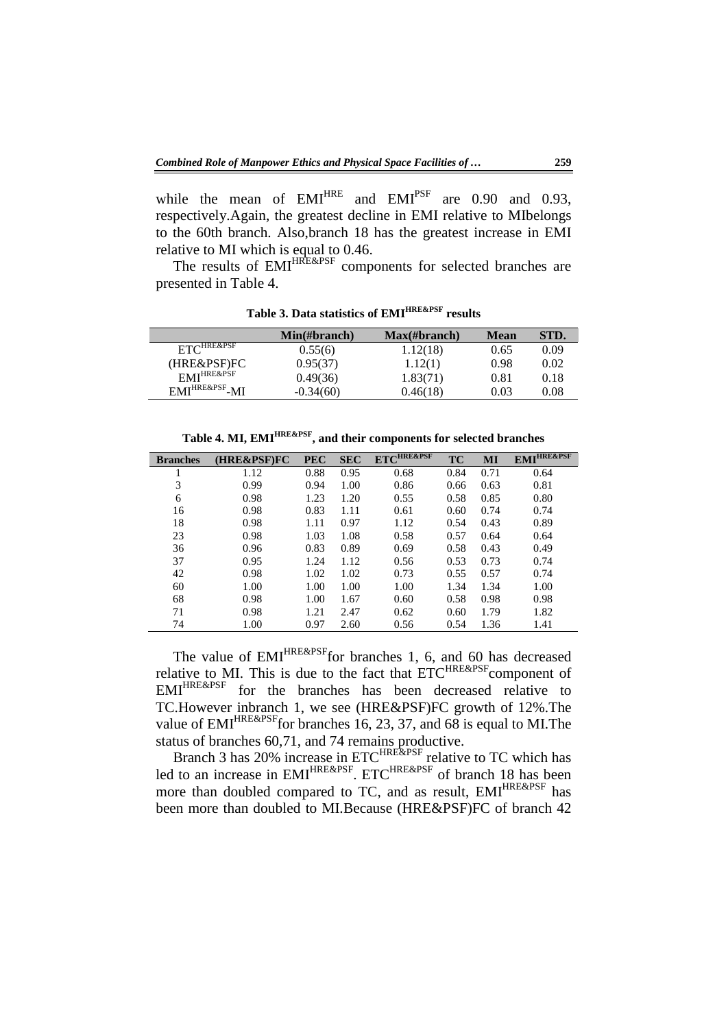while the mean of  $EMI^{HRE}$  and  $EMI^{PSF}$  are 0.90 and 0.93, respectively.Again, the greatest decline in EMI relative to MIbelongs to the 60th branch. Also,branch 18 has the greatest increase in EMI relative to MI which is equal to 0.46.

The results of EMI<sup>HRE&PSF</sup> components for selected branches are presented in Table 4.

|                                | $Min(\#branch)$ | $Max(\#branch)$ | <b>Mean</b> | STD. |
|--------------------------------|-----------------|-----------------|-------------|------|
| $ETC^{HREE\&PSF}$              | 0.55(6)         | 1.12(18)        | 0.65        | 0.09 |
| (HRE&PSF)FC                    | 0.95(37)        | 1.12(1)         | 0.98        | 0.02 |
| EMI <sup>HRE&amp;PSF</sup>     | 0.49(36)        | 1.83(71)        | 0.81        | 0.18 |
| EMI <sup>HRE&amp;PSF</sup> -MI | $-0.34(60)$     | 0.46(18)        | 0.03        | 0.08 |

**Table 3. Data statistics of EMIHRE&PSF results**

**Table 4. MI, EMIHRE&PSF , and their components for selected branches**

| <b>Branches</b> | (HRE&PSF)FC | <b>PEC</b> | <b>SEC</b> | ETC <sup>HRE&amp;PSF</sup> | TC   | MI   | <b>EMI<sup>HRE&amp;PSF</sup></b> |
|-----------------|-------------|------------|------------|----------------------------|------|------|----------------------------------|
|                 | 1.12        | 0.88       | 0.95       | 0.68                       | 0.84 | 0.71 | 0.64                             |
| 3               | 0.99        | 0.94       | 1.00       | 0.86                       | 0.66 | 0.63 | 0.81                             |
| 6               | 0.98        | 1.23       | 1.20       | 0.55                       | 0.58 | 0.85 | 0.80                             |
| 16              | 0.98        | 0.83       | 1.11       | 0.61                       | 0.60 | 0.74 | 0.74                             |
| 18              | 0.98        | 1.11       | 0.97       | 1.12                       | 0.54 | 0.43 | 0.89                             |
| 23              | 0.98        | 1.03       | 1.08       | 0.58                       | 0.57 | 0.64 | 0.64                             |
| 36              | 0.96        | 0.83       | 0.89       | 0.69                       | 0.58 | 0.43 | 0.49                             |
| 37              | 0.95        | 1.24       | 1.12       | 0.56                       | 0.53 | 0.73 | 0.74                             |
| 42              | 0.98        | 1.02       | 1.02       | 0.73                       | 0.55 | 0.57 | 0.74                             |
| 60              | 1.00        | 1.00       | 1.00       | 1.00                       | 1.34 | 1.34 | 1.00                             |
| 68              | 0.98        | 1.00       | 1.67       | 0.60                       | 0.58 | 0.98 | 0.98                             |
| 71              | 0.98        | 1.21       | 2.47       | 0.62                       | 0.60 | 1.79 | 1.82                             |
| 74              | 1.00        | 0.97       | 2.60       | 0.56                       | 0.54 | 1.36 | 1.41                             |

The value of  $EMI^{HRE\&PSF}$  for branches 1, 6, and 60 has decreased relative to MI. This is due to the fact that ETC<sup>HRE&PSF</sup> component of EMIHRE&PSF for the branches has been decreased relative to TC.However inbranch 1, we see (HRE&PSF)FC growth of 12%.The value of  $EMI^{HRE\&PSF}$  for branches 16, 23, 37, and 68 is equal to MI. The status of branches 60,71, and 74 remains productive.

Branch 3 has 20% increase in ETC<sup>HRE&PSF</sup> relative to TC which has led to an increase in EMI<sup>HRE&PSF</sup>. ETC<sup>HRE&PSF</sup> of branch 18 has been more than doubled compared to TC, and as result, EMI<sup>HRE&PSF</sup> has been more than doubled to MI.Because (HRE&PSF)FC of branch 42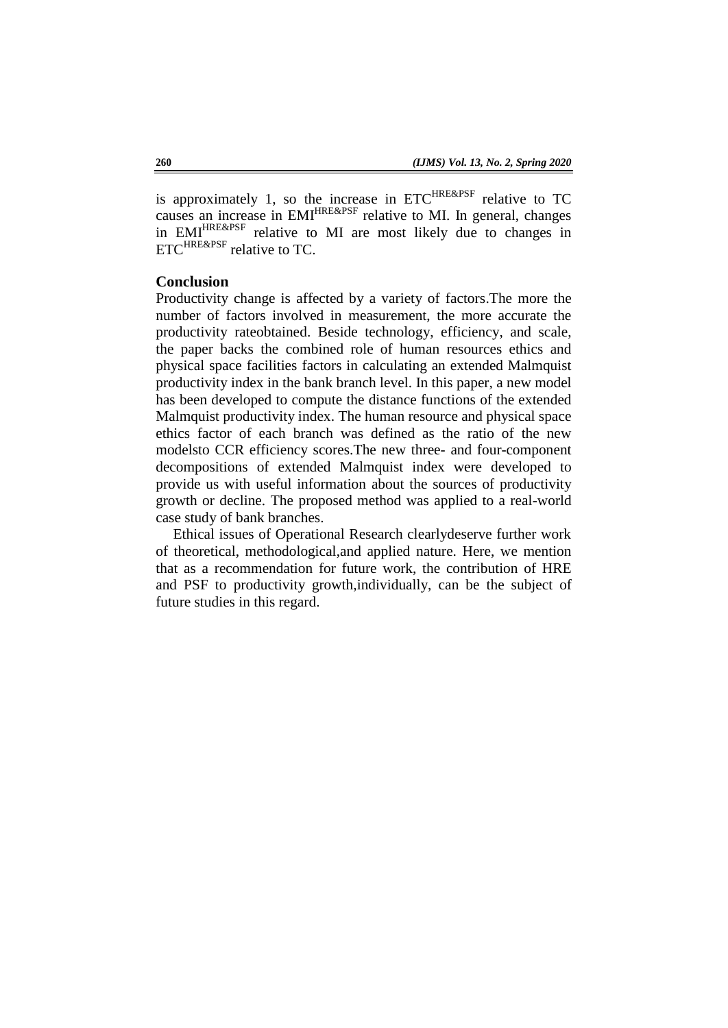is approximately 1, so the increase in  $ETC^{HRE\&PSF}$  relative to TC causes an increase in EMI<sup>HRE&PSF</sup> relative to MI. In general, changes in EMI<sup>HRE&PSF</sup> relative to MI are most likely due to changes in ETC<sup>HRE&PSF</sup> relative to TC.

## **Conclusion**

Productivity change is affected by a variety of factors.The more the number of factors involved in measurement, the more accurate the productivity rateobtained. Beside technology, efficiency, and scale, the paper backs the combined role of human resources ethics and physical space facilities factors in calculating an extended Malmquist productivity index in the bank branch level. In this paper, a new model has been developed to compute the distance functions of the extended Malmquist productivity index. The human resource and physical space ethics factor of each branch was defined as the ratio of the new modelsto CCR efficiency scores.The new three- and four-component decompositions of extended Malmquist index were developed to provide us with useful information about the sources of productivity growth or decline. The proposed method was applied to a real-world case study of bank branches.

Ethical issues of Operational Research clearlydeserve further work of theoretical, methodological,and applied nature. Here, we mention that as a recommendation for future work, the contribution of HRE and PSF to productivity growth,individually, can be the subject of future studies in this regard.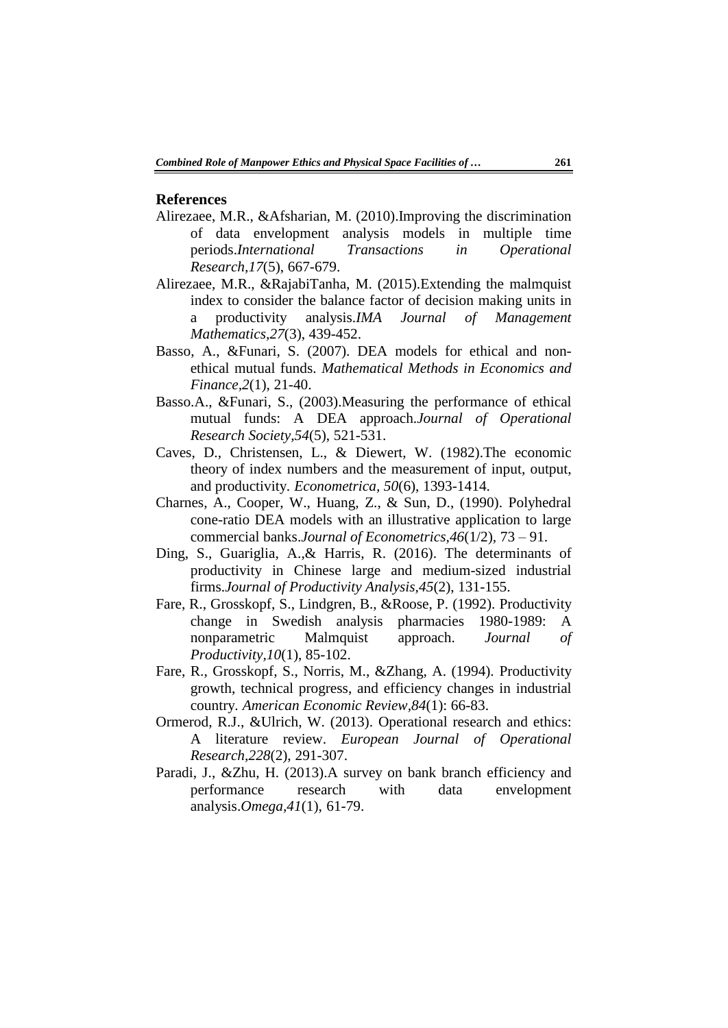#### **References**

- Alirezaee, M.R., &Afsharian, M. (2010).Improving the discrimination of data envelopment analysis models in multiple time periods.*International Transactions in Operational Research,17*(5), 667-679.
- Alirezaee, M.R., &RajabiTanha, M. (2015).Extending the malmquist index to consider the balance factor of decision making units in a productivity analysis.*IMA Journal of Management Mathematics,27*(3), 439-452.
- Basso, A., &Funari, S. (2007). DEA models for ethical and nonethical mutual funds. *Mathematical Methods in Economics and Finance,2*(1), 21-40.
- Basso.A., &Funari, S., (2003).Measuring the performance of ethical mutual funds: A DEA approach.*Journal of Operational Research Society,54*(5), 521-531.
- Caves, D., Christensen, L., & Diewert, W. (1982).The economic theory of index numbers and the measurement of input, output, and productivity. *Econometrica, 50*(6), 1393-1414.
- Charnes, A., Cooper, W., Huang, Z., & Sun, D., (1990). Polyhedral cone-ratio DEA models with an illustrative application to large commercial banks.*Journal of Econometrics,46*(1/2)*,* 73 – 91.
- Ding, S., Guariglia, A.,& Harris, R. (2016). The determinants of productivity in Chinese large and medium-sized industrial firms.*Journal of Productivity Analysis,45*(2), 131-155.
- Fare, R., Grosskopf, S., Lindgren, B., &Roose, P. (1992). Productivity change in Swedish analysis pharmacies 1980-1989: A nonparametric Malmquist approach. *Journal of Productivity,10*(1), 85-102.
- Fare, R., Grosskopf, S., Norris, M., &Zhang, A. (1994). Productivity growth, technical progress, and efficiency changes in industrial country. *American Economic Review,84*(1): 66-83.
- Ormerod, R.J., &Ulrich, W. (2013). Operational research and ethics: A literature review. *European Journal of Operational Research,228*(2), 291-307.
- Paradi, J., &Zhu, H. (2013).A survey on bank branch efficiency and performance research with data envelopment analysis.*Omega,41*(1), 61-79.